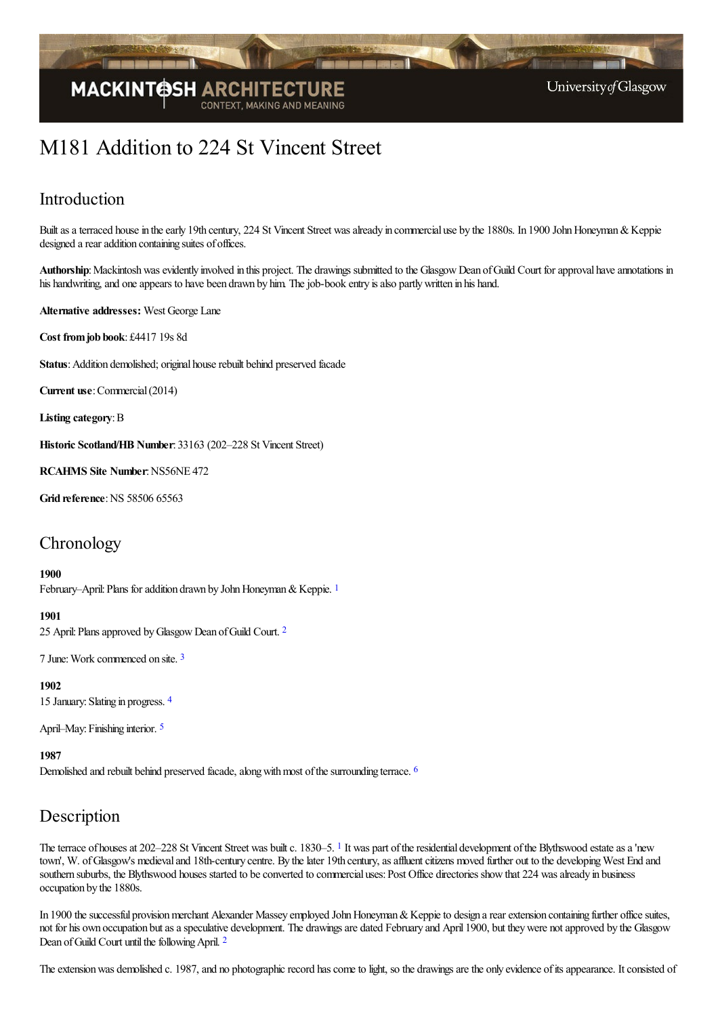

# M181 Addition to 224 St Vincent Street

### Introduction

Built as a terraced house in the early 19th century, 224 St Vincent Street was already in commercial use by the 1880s. In 1900 John Honeyman & Keppie designed a rear addition containing suites of offices.

Authorship: Mackintosh was evidently involved in this project. The drawings submitted to the Glasgow Dean of Guild Court for approval have annotations in his handwriting, and one appears to have been drawn by him. The job-book entry is also partly written in his hand.

**Alternative addresses:** West George Lane

**Cost fromjob book**: £4417 19s 8d

Status: Addition demolished; original house rebuilt behind preserved facade

**Current use:** Commercial (2014)

**Listing category**:B

**Historic Scotland/HB Number**: 33163 (202–228 St Vincent Street)

**RCAHMS Site Number**:NS56NE 472

**Grid reference: NS 58506 65563** 

### **Chronology**

#### <span id="page-0-0"></span>**1900**

February–April: Plans for addition drawn by John Honeyman & Keppie. <sup>[1](#page-5-0)</sup>

#### <span id="page-0-1"></span>**1901**

[2](#page-5-1)5 April: Plans approved by Glasgow Dean of Guild Court. <sup>2</sup>

<span id="page-0-2"></span>7 June: Work commenced on site. [3](#page-5-2)

<span id="page-0-3"></span>**1902** 15 January: Slating in progress. [4](#page-5-3)

<span id="page-0-4"></span>April–May: Finishing interior. <sup>[5](#page-5-4)</sup>

<span id="page-0-5"></span>**1987**

Demolished and rebuilt behind preserved facade, along with most of the surrounding terrace. <sup>[6](#page-5-5)</sup>

### Description

<span id="page-0-6"></span>The terrace of houses at 202–228 St Vincent Street was built c. [1](#page-5-6)830–5. <sup>1</sup> It was part of the residential development of the Blythswood estate as a 'new town', W. of Glasgow's medieval and 18th-century centre. By the later 19th century, as affluent citizens moved further out to the developing West End and southern suburbs, the Blythswood houses started to be converted to commercial uses: Post Office directories show that 224 was already in business occupation by the 1880s.

In 1900 the successful provision merchant Alexander Massey employed John Honeyman & Keppie to design a rear extension containing further office suites, not for his own occupation but as a speculative development. The drawings are dated February and April 1900, but they were not approved by the Glasgow Dean of Guild Court until the following April. <sup>[2](#page-5-7)</sup>

<span id="page-0-7"></span>The extension was demolished c. 1987, and no photographic record has come to light, so the drawings are the only evidence of its appearance. It consisted of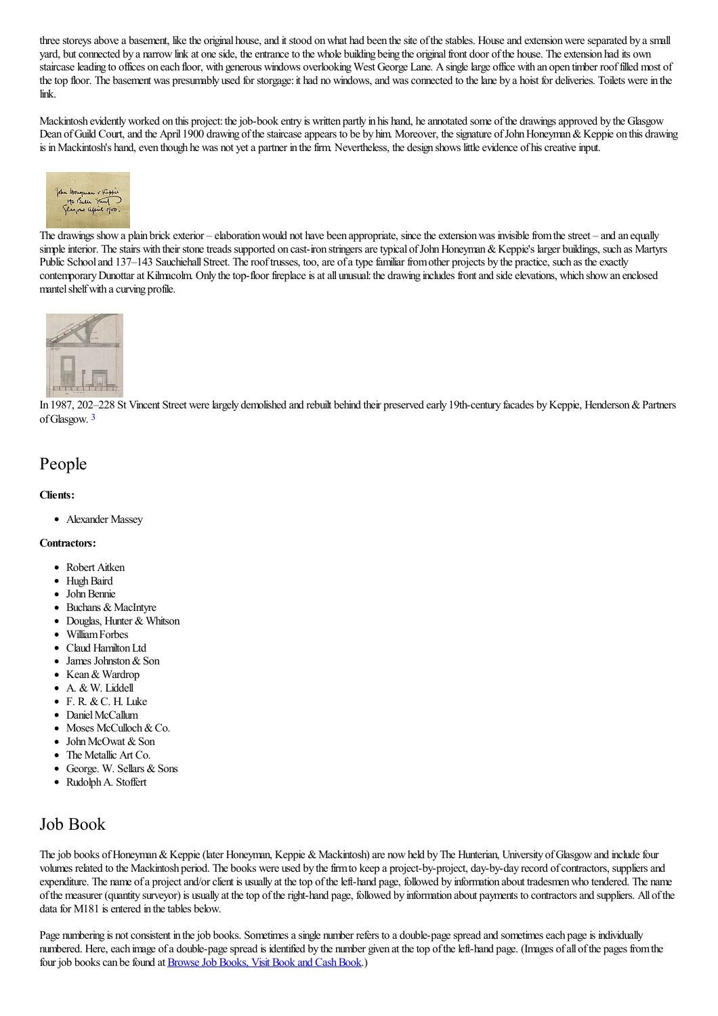three storeys above a basement, like the original house, and it stood on what had been the site of the stables. House and extension were separated by a small yard, but connected by a narrow link at one side, the entrance to the whole building being the original front door of the house. The extension had its own staircase leading to offices on each floor, with generous windows overlooking West George Lane. A single large office with an open timber roof filled most of the top floor. The basement was presumably used for storgage: it had no windows, and was connected to the lane by a hoist for deliveries. Toilets were in the link.

Mackintosh evidently worked on this project: the job-book entry is written partly in his hand, he annotated some of the drawings approved by the Glasgow Dean of Guild Court, and the April 1900 drawing of the staircase appears to be by him. Moreover, the signature of John Honeyman & Keppie on this drawing is in Mackintosh's hand, even though he was not yet a partner in the firm. Nevertheless, the design shows little evidence of his creative input.



The drawings show a plain brick exterior – elaboration would not have been appropriate, since the extension was invisible from the street – and an equally simple interior. The stairs with their stone treads supported on cast-iron stringers are typical of John Honeyman & Keppie's larger buildings, such as Martyrs Public School and 137–143 Sauchiehall Street. The roof trusses, too, are of a type familiar from other projects by the practice, such as the exactly contemporary Dunottar at Kilmacolm. Only the top-floor fireplace is at all unusual: the drawing includes front and side elevations, which show an enclosed mantel shelf with a curving profile.



<span id="page-1-0"></span>In 1987, [202–228](http://www.mackintosh-architecture.gla.ac.uk/catalogue/images/?filename=c188_001) St Vincent Street were largely demolished and rebuilt behind their preserved early 19th-century facades by Keppie, Henderson & Partners ofGlasgow. [3](#page-5-8)

### People

#### **Clients:**

Alexander Massey

#### **Contractors:**

- Robert Aitken
- Hugh Baird
- John Bennie
- Buchans & MacIntyre
- Douglas, Hunter & Whitson
- WilliamForbes
- Claud Hamilton Ltd
- James Johnston & Son
- Kean & Wardrop
- A. & W. Liddell
- F. R. &C. H. Luke
- Daniel McCallum
- Moses McCulloch & Co.
- John McOwat & Son
- The Metallic Art Co.
- $\bullet$  George. W. Sellars & Sons
- Rudolph A. Stoffert

### Job Book

The job books of Honeyman & Keppie (later Honeyman, Keppie & Mackintosh) are now held by The Hunterian, University of Glasgow and include four volumes related to the Mackintosh period. The books were used by the firm to keep a project-by-project, day-by-day record of contractors, suppliers and expenditure. The name of a project and/or client is usually at the top of the left-hand page, followed by information about tradesmen who tendered. The name ofthe measurer (quantity surveyor) is usually at thetop oftheright-hand page, followed by information about payments to contractorsand suppliers. All ofthe data for M181 is entered in the tables below.

Page numbering is not consistent in the job books. Sometimes a single number refers to a double-page spread and sometimes each page is individually numbered. Here, each image of a double-page spread is identified by the number given at the top of the left-hand page. (Images of all of the pages from the four job books can be found at **Browse Job Books**, Visit Book and Cash Book.)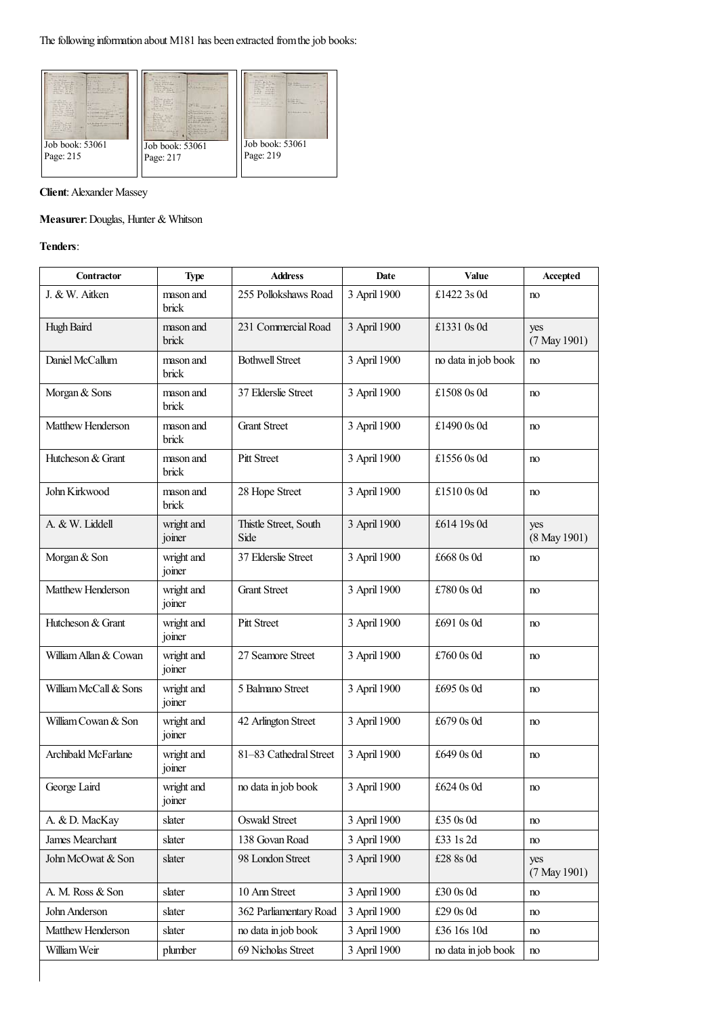

**Client:** Alexander Massey

### **Measurer**:Douglas, Hunter & Whitson

#### **Tenders**:

| Contractor            | <b>Type</b>          | <b>Address</b>                | Date         | Value               | Accepted            |
|-----------------------|----------------------|-------------------------------|--------------|---------------------|---------------------|
| J. & W. Aitken        | mason and<br>brick   | 255 Pollokshaws Road          | 3 April 1900 | £1422 3s 0d         | no                  |
| Hugh Baird            | mason and<br>brick   | 231 Commercial Road           | 3 April 1900 | £1331 0s 0d         | yes<br>(7 May 1901) |
| Daniel McCallum       | mason and<br>brick   | <b>Bothwell Street</b>        | 3 April 1900 | no data in job book | no                  |
| Morgan & Sons         | mason and<br>brick   | 37 Elderslie Street           | 3 April 1900 | £1508 0s 0d         | no                  |
| Matthew Henderson     | mason and<br>brick   | <b>Grant Street</b>           | 3 April 1900 | £1490 0s 0d         | no                  |
| Hutcheson & Grant     | mason and<br>brick   | Pitt Street                   | 3 April 1900 | £1556 0s 0d         | no                  |
| John Kirkwood         | mason and<br>brick   | 28 Hope Street                | 3 April 1900 | £1510 0s 0d         | no                  |
| A. & W. Liddell       | wright and<br>joiner | Thistle Street, South<br>Side | 3 April 1900 | £614 19s 0d         | yes<br>(8 May 1901) |
| Morgan & Son          | wright and<br>joiner | 37 Elderslie Street           | 3 April 1900 | £668 0s 0d          | no                  |
| Matthew Henderson     | wright and<br>joiner | <b>Grant Street</b>           | 3 April 1900 | £780 0s 0d          | no                  |
| Hutcheson & Grant     | wright and<br>joiner | Pitt Street                   | 3 April 1900 | £691 0s 0d          | no                  |
| William Allan & Cowan | wright and<br>joiner | 27 Seamore Street             | 3 April 1900 | £760 0s 0d          | no                  |
| William McCall & Sons | wright and<br>joiner | 5 Balmano Street              | 3 April 1900 | £695 0s 0d          | no                  |
| William Cowan & Son   | wright and<br>joiner | 42 Arlington Street           | 3 April 1900 | £679 0s 0d          | no                  |
| Archibald McFarlane   | wright and<br>joiner | 81-83 Cathedral Street        | 3 April 1900 | £649 0s 0d          | no                  |
| George Laird          | wright and<br>joiner | no data in job book           | 3 April 1900 | £624 0s 0d          | no                  |
| A. & D. MacKay        | slater               | Oswald Street                 | 3 April 1900 | £35 0s 0d           | no                  |
| James Mearchant       | slater               | 138 Govan Road                | 3 April 1900 | £33 1s 2d           | no                  |
| John McOwat & Son     | slater               | 98 London Street              | 3 April 1900 | £28 8s 0d           | yes<br>(7 May 1901) |
| A. M. Ross & Son      | slater               | 10 Ann Street                 | 3 April 1900 | £30 0s 0d           | no                  |
| John Anderson         | slater               | 362 Parliamentary Road        | 3 April 1900 | £29 0s 0d           | no                  |
| Matthew Henderson     | slater               | no data in job book           | 3 April 1900 | £36 16s 10d         | no                  |
| William Weir          | plumber              | 69 Nicholas Street            | 3 April 1900 | no data in job book | no                  |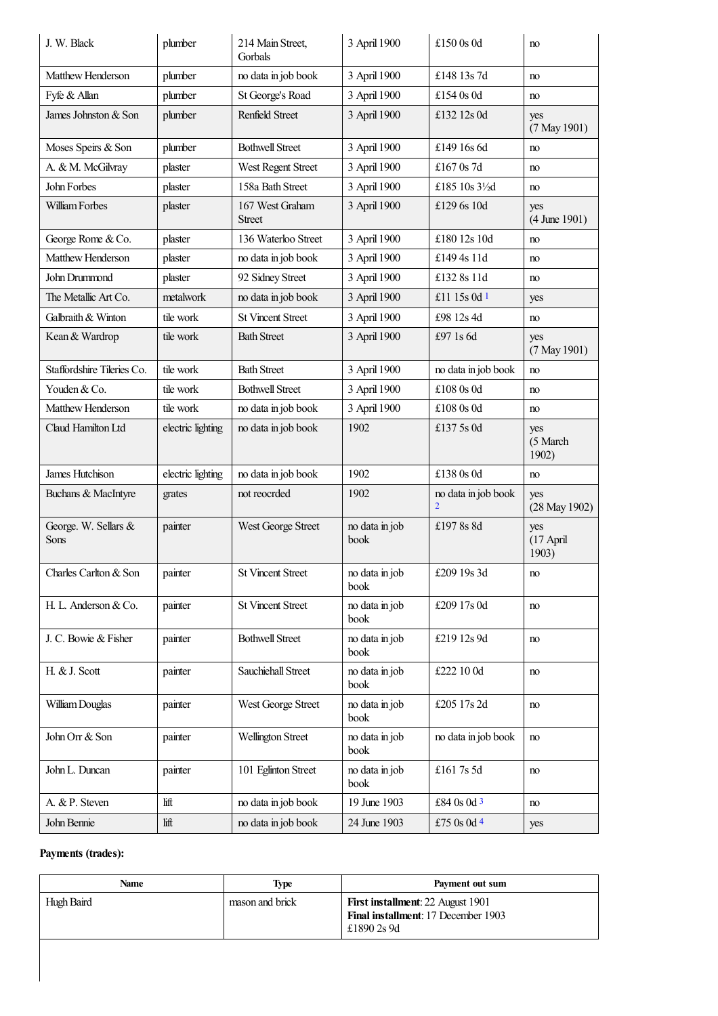<span id="page-3-0"></span>

| J. W. Black                  | plumber           | 214 Main Street,<br>Gorbals | 3 April 1900           | £150 0s 0d                            | no                        |
|------------------------------|-------------------|-----------------------------|------------------------|---------------------------------------|---------------------------|
| Matthew Henderson            | plumber           | no data in job book         | 3 April 1900           | £148 13s 7d                           | no                        |
| Fyfe & Allan                 | plumber           | St George's Road            | 3 April 1900           | £154 0s 0d                            | no                        |
| James Johnston & Son         | plumber           | Renfield Street             | 3 April 1900           | £132 12s 0d                           | yes<br>(7 May 1901)       |
| Moses Speirs & Son           | plumber           | <b>Bothwell Street</b>      | 3 April 1900           | £149 16s 6d                           | no                        |
| A. & M. McGilvray            | plaster           | West Regent Street          | 3 April 1900           | £167 0s 7d                            | no                        |
| John Forbes                  | plaster           | 158a Bath Street            | 3 April 1900           | £185 10s 31/2d                        | no                        |
| William Forbes               | plaster           | 167 West Graham<br>Street   | 3 April 1900           | £129 6s 10d                           | yes<br>$(4$ June 1901)    |
| George Rome & Co.            | plaster           | 136 Waterloo Street         | 3 April 1900           | £180 12s 10d                          | no                        |
| Matthew Henderson            | plaster           | no data in job book         | 3 April 1900           | £149 4s 11d                           | no                        |
| John Drummond                | plaster           | 92 Sidney Street            | 3 April 1900           | £132 8s 11d                           | no                        |
| The Metallic Art Co.         | metalwork         | no data in job book         | 3 April 1900           | £11 15s 0d 1                          | yes                       |
| Galbraith & Winton           | tile work         | <b>St Vincent Street</b>    | 3 April 1900           | £98 12s 4d                            | no                        |
| Kean & Wardrop               | tile work         | <b>Bath Street</b>          | 3 April 1900           | £97 1s 6d                             | yes<br>(7 May 1901)       |
| Staffordshire Tileries Co.   | tile work         | <b>Bath Street</b>          | 3 April 1900           | no data in job book                   | no                        |
| Youden & Co.                 | tile work         | <b>Bothwell Street</b>      | 3 April 1900           | £108 0s 0d                            | no                        |
| Matthew Henderson            | tile work         | no data in job book         | 3 April 1900           | £108 0s 0d                            | no                        |
| Claud Hamilton Ltd           | electric lighting | no data in job book         | 1902                   | £137 5s 0d                            | yes<br>(5 March<br>1902)  |
| James Hutchison              | electric lighting | no data in job book         | 1902                   | £138 0s 0d                            | no                        |
| Buchans & MacIntyre          | grates            | not reocrded                | 1902                   | no data in job book<br>$\overline{2}$ | yes<br>(28 May 1902)      |
| George. W. Sellars &<br>Sons | painter           | West George Street          | no data in job<br>book | £1978s8d                              | yes<br>(17 April<br>1903) |
| Charles Carlton & Son        | painter           | <b>St Vincent Street</b>    | no data in job<br>book | £209 19s 3d                           | no                        |
| H. L. Anderson & Co.         | painter           | <b>St Vincent Street</b>    | no data in job<br>book | £209 17s 0d                           | no                        |
| J. C. Bowie & Fisher         | painter           | <b>Bothwell Street</b>      | no data in job<br>book | £219 12s 9d                           | no                        |
| H. & J. Scott                | painter           | Sauchiehall Street          | no data in job<br>book | £222 10 0d                            | no                        |
| William Douglas              | painter           | West George Street          | no data in job<br>book | £205 17s 2d                           | no                        |
| John Orr & Son               | painter           | Wellington Street           | no data in job<br>book | no data in job book                   | no                        |
| John L. Duncan               | painter           | 101 Eglinton Street         | no data in job<br>book | £161 7s 5d                            | no                        |
| A. & P. Steven               | lift              | no data in job book         | 19 June 1903           | £84 0s 0d 3                           | no                        |
| John Bennie                  | lift              | no data in job book         | 24 June 1903           | £75 0s 0d 4                           | yes                       |
|                              |                   |                             |                        |                                       |                           |

### <span id="page-3-3"></span><span id="page-3-2"></span><span id="page-3-1"></span>**Payments (trades):**

| Name       | Type            | Payment out sum                                                                                |
|------------|-----------------|------------------------------------------------------------------------------------------------|
| Hugh Baird | mason and brick | <b>First installment: 22 August 1901</b><br>Final installment: 17 December 1903<br>£1890 2s 9d |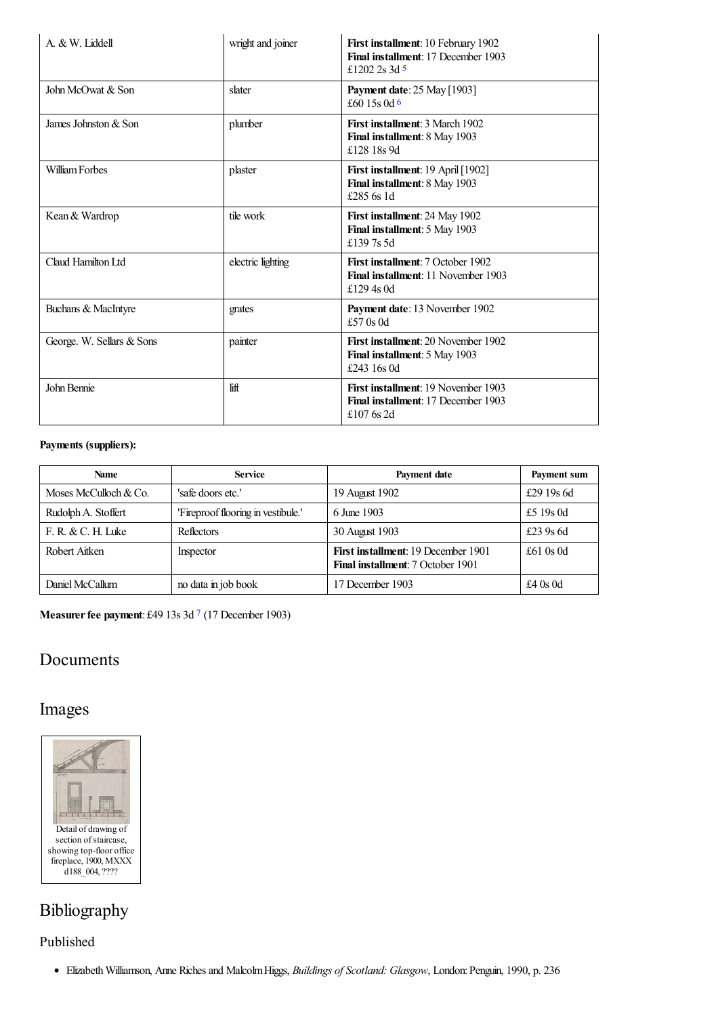<span id="page-4-1"></span><span id="page-4-0"></span>

| A. & W. Liddell           | wright and joiner | First installment: 10 February 1902<br>Final installment: 17 December 1903<br>£1202 2s 3d 5     |
|---------------------------|-------------------|-------------------------------------------------------------------------------------------------|
| John McOwat & Son         | slater            | <b>Payment date:</b> 25 May [1903]<br>£60 15s 0d 6                                              |
| James Johnston & Son      | plumber           | First installment: 3 March 1902<br>Final installment: 8 May 1903<br>£128 18s 9d                 |
| William Forbes            | plaster           | First installment: 19 April [1902]<br>Final installment: 8 May 1903<br>£285 6s 1d               |
| Kean & Wardrop            | tile work         | First installment: 24 May 1902<br>Final installment: 5 May 1903<br>£1397s5d                     |
| Claud Hamilton Ltd        | electric lighting | First installment: 7 October 1902<br>Final installment: 11 November 1903<br>£129.4s 0d          |
| Buchans & MacIntyre       | grates            | Payment date: 13 November 1902<br>£57 0s 0d                                                     |
| George. W. Sellars & Sons | painter           | <b>First installment: 20 November 1902</b><br>Final installment: 5 May 1903<br>£243 16s 0d      |
| John Bennie               | lift              | <b>First installment: 19 November 1903</b><br>Final installment: 17 December 1903<br>£107 6s 2d |

#### **Payments (suppliers):**

| <b>Name</b>           | <b>Service</b>                     | Payment date                                                                           | Payment sum |
|-----------------------|------------------------------------|----------------------------------------------------------------------------------------|-------------|
| Moses McCulloch & Co. | 'safe doors etc.'                  | 19 August 1902                                                                         | £29 19s 6d  |
| Rudolph A. Stoffert   | 'Fireproof flooring in vestibule.' | 6 June 1903                                                                            | £5 19s 0d   |
| F. R. & C. H. Luke    | Reflectors                         | 30 August 1903                                                                         | £23 9s 6d   |
| Robert Aitken         | Inspector                          | <b>First installment: 19 December 1901</b><br><b>Final installment:</b> 7 October 1901 | £61 $0s$ 0d |
| Daniel McCallum       | no data in job book                | 17 December 1903                                                                       | £4 $0s$ 0d  |

<span id="page-4-2"></span>**Measurerfee payment**: £49 13s 3d [7](#page-5-15) (17 December 1903)

### Documents

### Images



# Bibliography

Published

ElizabethWilliamson, Anne Richesand MalcolmHiggs, *Buildings of Scotland: Glasgow*, London:Penguin, 1990, p. 236